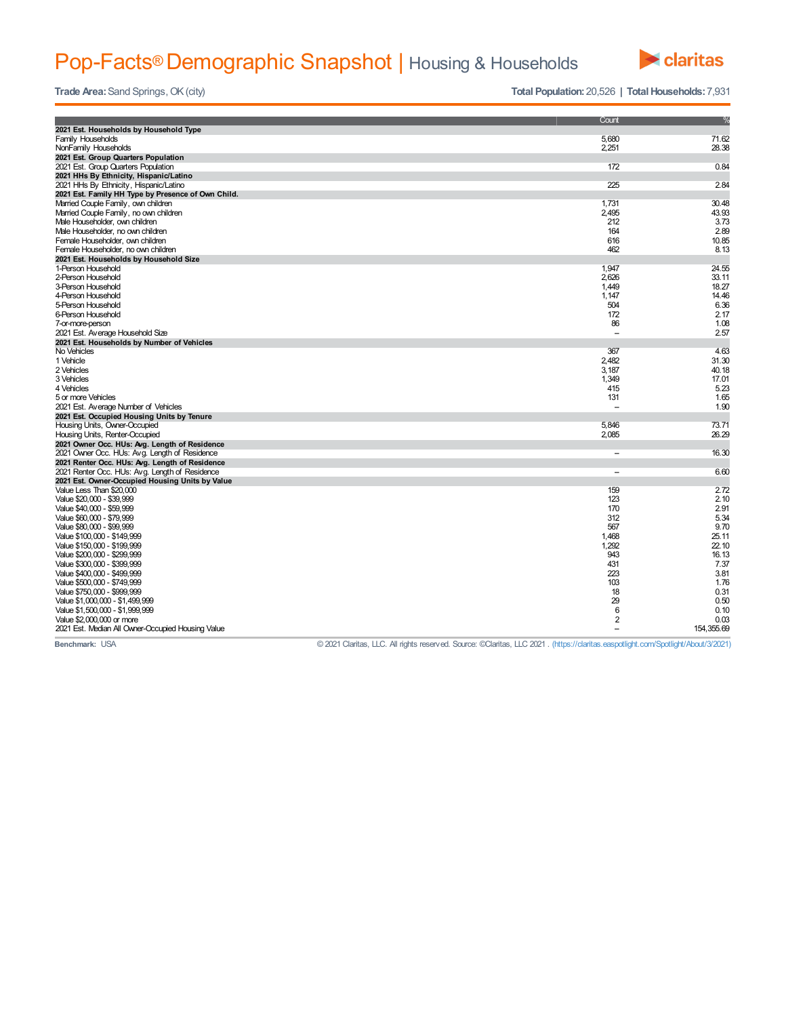## Pop-Facts® Demographic Snapshot | Housing & Households



**Trade Area:** Sand Springs, OK (city) **Trade** Area: Sand Springs, OK (city) **Total Population:** 20,526 **| Total Households:** 7,931

|                                                                    | Count                    | $\frac{9}{6}$ |
|--------------------------------------------------------------------|--------------------------|---------------|
| 2021 Est. Households by Household Type                             |                          |               |
| <b>Family Households</b>                                           | 5,680                    | 71.62         |
| NonFamily Households                                               | 2,251                    | 28.38         |
| 2021 Est. Group Quarters Population                                |                          |               |
| 2021 Est. Group Quarters Population                                | 172                      | 0.84          |
| 2021 HHs By Ethnicity, Hispanic/Latino                             |                          |               |
| 2021 HHs By Ethnicity, Hispanic/Latino                             | 225                      | 2.84          |
| 2021 Est. Family HH Type by Presence of Own Child.                 |                          |               |
| Married Couple Family, own children                                | 1,731                    | 30.48         |
| Married Couple Family, no own children                             | 2,495                    | 43.93         |
| Male Householder, own children                                     | 212                      | 3.73          |
| Male Householder, no own children                                  | 164                      | 2.89          |
| Female Householder, own children                                   | 616                      | 10.85         |
| Female Householder, no own children                                | 462                      | 8.13          |
| 2021 Est. Households by Household Size                             |                          |               |
| 1-Person Household                                                 | 1,947                    | 24.55         |
| 2-Person Household                                                 | 2,626                    | 33.11         |
| 3-Person Household                                                 | 1,449                    | 18.27         |
| 4-Person Household                                                 | 1,147                    | 14.46         |
| 5-Person Household                                                 | 504                      | 6.36          |
| 6-Person Household                                                 | 172                      | 2.17          |
| 7-or-more-person                                                   | 86                       | 1.08          |
| 2021 Est. Average Household Size                                   | $\overline{a}$           | 2.57          |
| 2021 Est. Households by Number of Vehicles                         |                          |               |
| No Vehicles                                                        | 367                      | 4.63          |
| 1 Vehicle                                                          | 2,482                    | 31.30         |
| 2 Vehicles                                                         | 3,187                    | 40.18         |
| 3 Vehicles                                                         | 1,349                    | 17.01         |
| 4 Vehicles                                                         | 415                      | 5.23          |
| 5 or more Vehicles                                                 | 131                      | 1.65          |
| 2021 Est. Average Number of Vehicles                               | ÷                        | 1.90          |
| 2021 Est. Occupied Housing Units by Tenure                         |                          |               |
| Housing Units, Owner-Occupied                                      | 5,846                    | 73.71         |
| Housing Units, Renter-Occupied                                     | 2,085                    | 26.29         |
| 2021 Owner Occ. HUs: Avg. Length of Residence                      |                          |               |
| 2021 Owner Occ. HUs: Avg. Length of Residence                      | $\overline{\phantom{a}}$ | 16.30         |
| 2021 Renter Occ. HUs: Avg. Length of Residence                     |                          |               |
| 2021 Renter Occ. HUs: Avg. Length of Residence                     | $\overline{\phantom{a}}$ | 6.60          |
| 2021 Est. Owner-Occupied Housing Units by Value                    |                          |               |
| Value Less Than \$20,000                                           | 159                      | 2.72          |
| Value \$20,000 - \$39,999                                          | 123<br>170               | 2.10<br>2.91  |
| Value \$40,000 - \$59,999                                          |                          |               |
| Value \$60,000 - \$79,999                                          | 312                      | 5.34          |
| Value \$80,000 - \$99,999                                          | 567<br>1.468             | 9.70<br>25.11 |
| Value \$100,000 - \$149,999                                        |                          | 22.10         |
| Value \$150,000 - \$199,999                                        | 1,292<br>943             | 16.13         |
| Value \$200,000 - \$299,999<br>Value \$300,000 - \$399,999         | 431                      | 7.37          |
|                                                                    | 223                      | 3.81          |
| Value \$400,000 - \$499,999<br>Value \$500,000 - \$749,999         | 103                      | 1.76          |
|                                                                    | 18                       | 0.31          |
| Value \$750,000 - \$999,999                                        | 29                       | 0.50          |
| Value \$1,000,000 - \$1,499,999<br>Value \$1,500,000 - \$1,999,999 | $6\phantom{1}6$          | 0.10          |
| Value \$2,000,000 or more                                          | $\overline{c}$           | 0.03          |
| 2021 Est. Median All Owner-Occupied Housing Value                  | $\overline{\phantom{0}}$ | 154, 355, 69  |
|                                                                    |                          |               |

**Benchmark:** USA **Discretion Claritas, LLC 2021** Claritas, LLC All rights reserved. Source: ©Claritas, LLC 2021 . (https://claritas.easpotlight.com/Spotlight/About/3/2021)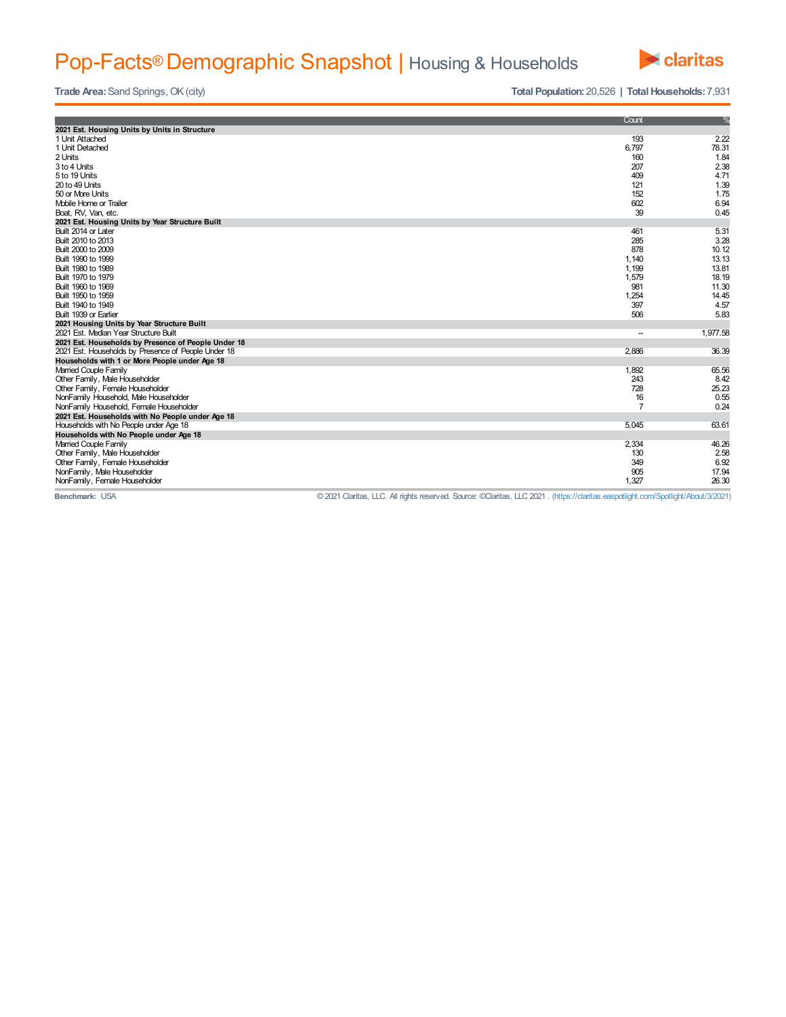## Pop-Facts® Demographic Snapshot | Housing & Households



**Trade Area:** Sand Springs, OK (city) **Trade** Area: Sand Springs, OK (city) **Total Population:** 20,526 **| Total Households:** 7,931

|                                                     | Count                    | %        |
|-----------------------------------------------------|--------------------------|----------|
| 2021 Est. Housing Units by Units in Structure       |                          |          |
| 1 Unit Attached                                     | 193                      | 2.22     |
| 1 Unit Detached                                     | 6,797                    | 78.31    |
| 2 Units                                             | 160                      | 1.84     |
| 3 to 4 Units                                        | 207                      | 2.38     |
| 5 to 19 Units                                       | 409                      | 4.71     |
| 20 to 49 Units                                      | 121                      | 1.39     |
| 50 or More Units                                    | 152                      | 1.75     |
| Mobile Home or Trailer                              | 602                      | 6.94     |
| Boat, RV, Van, etc.                                 | 39                       | 0.45     |
| 2021 Est. Housing Units by Year Structure Built     |                          |          |
| Built 2014 or Later                                 | 461                      | 5.31     |
| Built 2010 to 2013                                  | 285                      | 3.28     |
| Built 2000 to 2009                                  | 878                      | 10.12    |
| Built 1990 to 1999                                  | 1,140                    | 13.13    |
| Built 1980 to 1989                                  | 1,199                    | 13.81    |
| Built 1970 to 1979                                  | 1,579                    | 18.19    |
| Built 1960 to 1969                                  | 981                      | 11.30    |
| Built 1950 to 1959                                  | 1,254                    | 14.45    |
| Built 1940 to 1949                                  | 397                      | 4.57     |
| Built 1939 or Earlier                               | 506                      | 5.83     |
| 2021 Housing Units by Year Structure Built          |                          |          |
| 2021 Est. Median Year Structure Built               | $\overline{\phantom{a}}$ | 1,977.58 |
| 2021 Est. Households by Presence of People Under 18 |                          |          |
| 2021 Est. Households by Presence of People Under 18 | 2,886                    | 36.39    |
| Households with 1 or More People under Age 18       |                          |          |
| Married Couple Family                               | 1,892                    | 65.56    |
| Other Family, Male Householder                      | 243                      | 8.42     |
| Other Family, Female Householder                    | 728                      | 25.23    |
| NonFamily Household, Male Householder               | 16                       | 0.55     |
| NonFamily Household, Female Householder             | $\overline{7}$           | 0.24     |
| 2021 Est. Households with No People under Age 18    |                          |          |
| Households with No People under Age 18              | 5,045                    | 63.61    |
| Households with No People under Age 18              |                          |          |
| Married Couple Family                               | 2,334                    | 46.26    |
| Other Family, Male Householder                      | 130                      | 2.58     |
| Other Family, Female Householder                    | 349                      | 6.92     |
| NonFamily, Male Householder                         | 905                      | 17.94    |
| NonFamily, Female Householder                       | 1,327                    | 26.30    |
|                                                     |                          |          |

**Benchmark:** USA © 2021 Claritas, LLC. All rights reserved. Source: ©Claritas, LLC 2021 . (https://claritas.easpotlight.com/Spotlight/About/3/2021)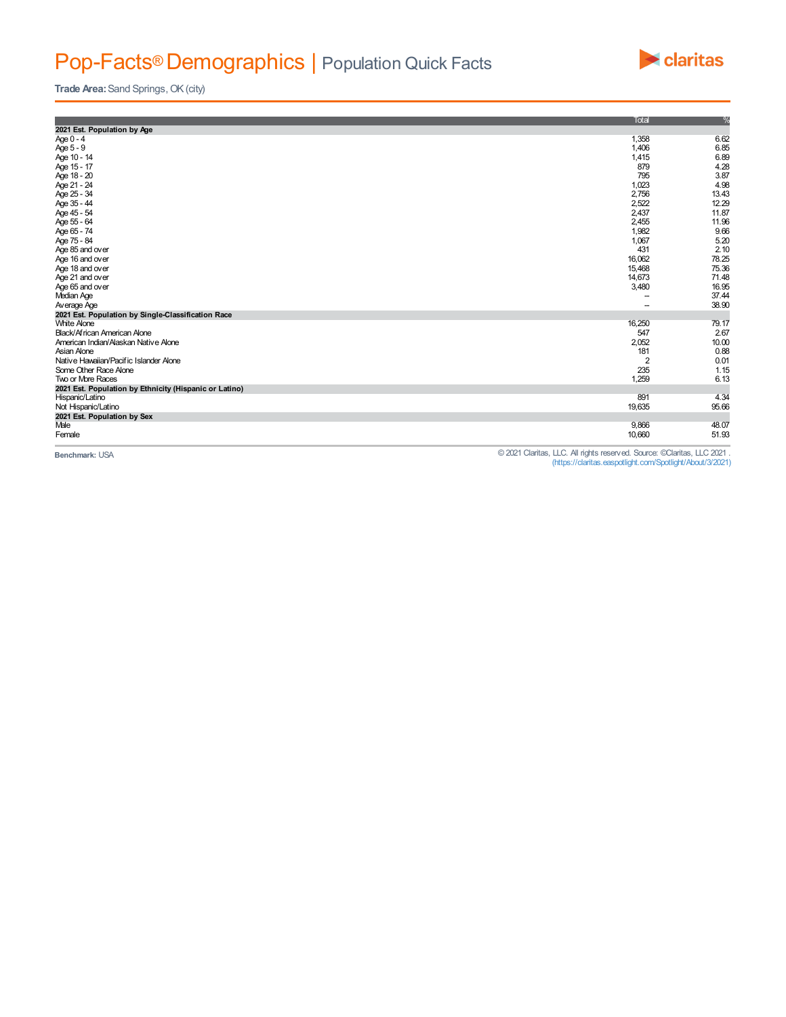## Pop-Facts® Demographics | Population Quick Facts



**Trade Area:** Sand Springs, OK (city)

|                                                        | Total          | %     |
|--------------------------------------------------------|----------------|-------|
| 2021 Est. Population by Age                            |                |       |
| Age $0 - 4$                                            | 1,358          | 6.62  |
| Age 5 - 9                                              | 1,406          | 6.85  |
| Age 10 - 14                                            | 1,415          | 6.89  |
| Age 15 - 17                                            | 879            | 4.28  |
| Age 18 - 20                                            | 795            | 3.87  |
| Age 21 - 24                                            | 1,023          | 4.98  |
| Age 25 - 34                                            | 2,756          | 13.43 |
| Age 35 - 44                                            | 2,522          | 12.29 |
| Age 45 - 54                                            | 2,437          | 11.87 |
| Age 55 - 64                                            | 2,455          | 11.96 |
| Age 65 - 74                                            | 1,982          | 9.66  |
| Age 75 - 84                                            | 1,067          | 5.20  |
| Age 85 and over                                        | 431            | 2.10  |
| Age 16 and over                                        | 16,062         | 78.25 |
| Age 18 and over                                        | 15,468         | 75.36 |
| Age 21 and over                                        | 14,673         | 71.48 |
| Age 65 and over                                        | 3,480          | 16.95 |
| Median Age                                             | --             | 37.44 |
| Average Age                                            | --             | 38.90 |
| 2021 Est. Population by Single-Classification Race     |                |       |
| <b>White Alone</b>                                     | 16,250         | 79.17 |
| Black/African American Alone                           | 547            | 2.67  |
| American Indian/Alaskan Native Alone                   | 2,052          | 10.00 |
| Asian Alone                                            | 181            | 0.88  |
| Native Hawaiian/Pacific Islander Alone                 | $\overline{2}$ | 0.01  |
| Some Other Race Alone                                  | 235            | 1.15  |
| Two or More Races                                      | 1,259          | 6.13  |
| 2021 Est. Population by Ethnicity (Hispanic or Latino) |                |       |
| Hispanic/Latino                                        | 891            | 4.34  |
| Not Hispanic/Latino                                    | 19,635         | 95.66 |
| 2021 Est. Population by Sex                            |                |       |
| Male                                                   | 9,866          | 48.07 |
| Female                                                 | 10,660         | 51.93 |
|                                                        |                |       |

© 2021 Claritas, LLC. All rights reserved. Source: ©Claritas, LLC 2021 .<br>(https://claritas.easpotlight/.com/Spotlight/About/3/2021) .<br>(https://claritas.easpotlight/.com/Spotlight/About/3/2021)